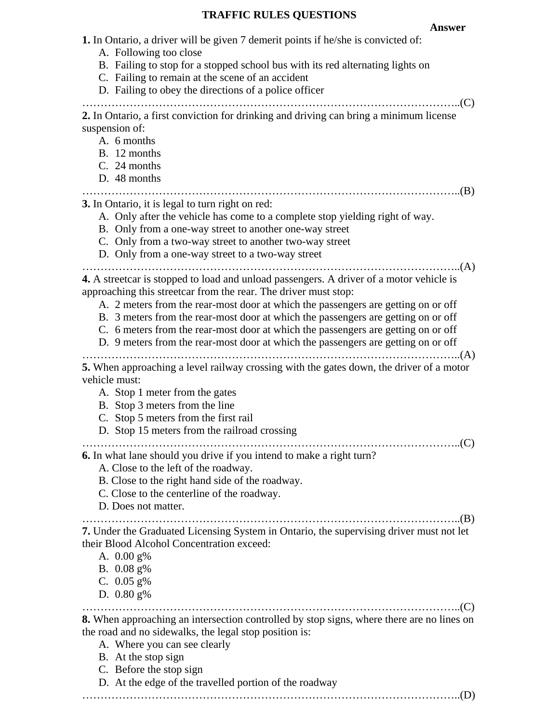## **TRAFFIC RULES QUESTIONS**

| <b>Answer</b>                                                                                                                                                                                                                                                                                                                                                                                                                                                                                                  |
|----------------------------------------------------------------------------------------------------------------------------------------------------------------------------------------------------------------------------------------------------------------------------------------------------------------------------------------------------------------------------------------------------------------------------------------------------------------------------------------------------------------|
| <b>1.</b> In Ontario, a driver will be given 7 demerit points if he/she is convicted of:<br>A. Following too close<br>B. Failing to stop for a stopped school bus with its red alternating lights on<br>C. Failing to remain at the scene of an accident<br>D. Failing to obey the directions of a police officer<br>$\Gamma(C)$                                                                                                                                                                               |
| 2. In Ontario, a first conviction for drinking and driving can bring a minimum license<br>suspension of:<br>A. 6 months<br>B. 12 months<br>C. 24 months<br>D. 48 months                                                                                                                                                                                                                                                                                                                                        |
| 3. In Ontario, it is legal to turn right on red:<br>A. Only after the vehicle has come to a complete stop yielding right of way.<br>B. Only from a one-way street to another one-way street<br>C. Only from a two-way street to another two-way street<br>D. Only from a one-way street to a two-way street                                                                                                                                                                                                    |
| 4. A streetcar is stopped to load and unload passengers. A driver of a motor vehicle is<br>approaching this streetcar from the rear. The driver must stop:<br>A. 2 meters from the rear-most door at which the passengers are getting on or off<br>B. 3 meters from the rear-most door at which the passengers are getting on or off<br>C. 6 meters from the rear-most door at which the passengers are getting on or off<br>D. 9 meters from the rear-most door at which the passengers are getting on or off |
| 5. When approaching a level railway crossing with the gates down, the driver of a motor<br>vehicle must:<br>A. Stop 1 meter from the gates<br>B. Stop 3 meters from the line<br>C. Stop 5 meters from the first rail<br>D. Stop 15 meters from the railroad crossing                                                                                                                                                                                                                                           |
| 6. In what lane should you drive if you intend to make a right turn?<br>A. Close to the left of the roadway.<br>B. Close to the right hand side of the roadway.<br>C. Close to the centerline of the roadway.<br>D. Does not matter.                                                                                                                                                                                                                                                                           |
| 7. Under the Graduated Licensing System in Ontario, the supervising driver must not let<br>their Blood Alcohol Concentration exceed:<br>A. $0.00$ g%<br>B. $0.08$ g%<br>C. $0.05$ g%<br>D. $0.80$ g%                                                                                                                                                                                                                                                                                                           |
| $C$ .<br>8. When approaching an intersection controlled by stop signs, where there are no lines on<br>the road and no sidewalks, the legal stop position is:<br>A. Where you can see clearly<br>B. At the stop sign<br>C. Before the stop sign<br>D. At the edge of the travelled portion of the roadway                                                                                                                                                                                                       |

…………………………………………………………………………………………..(D)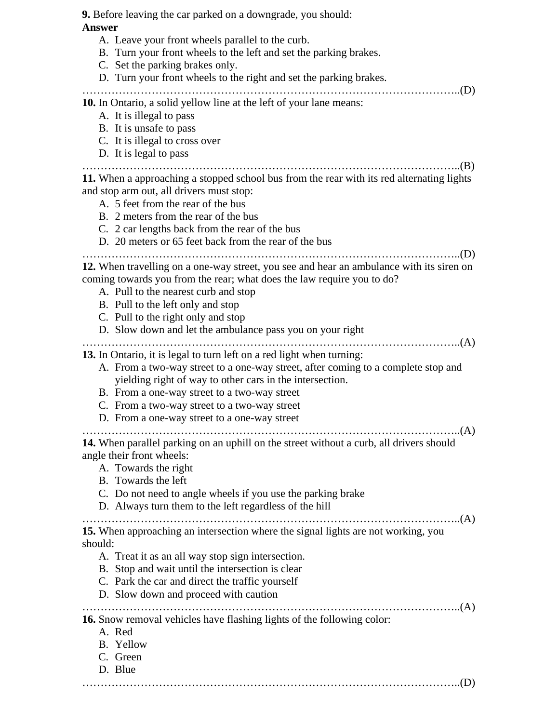**9.** Before leaving the car parked on a downgrade, you should: **Answer** A. Leave your front wheels parallel to the curb. B. Turn your front wheels to the left and set the parking brakes. C. Set the parking brakes only. D. Turn your front wheels to the right and set the parking brakes. …………………………………………………………………………………………..(D) **10.** In Ontario, a solid yellow line at the left of your lane means: A. It is illegal to pass B. It is unsafe to pass C. It is illegal to cross over D. It is legal to pass …………………………………………………………………………………………..(B) **11.** When a approaching a stopped school bus from the rear with its red alternating lights and stop arm out, all drivers must stop: A. 5 feet from the rear of the bus B. 2 meters from the rear of the bus C. 2 car lengths back from the rear of the bus D. 20 meters or 65 feet back from the rear of the bus …………………………………………………………………………………………..(D) **12.** When travelling on a one-way street, you see and hear an ambulance with its siren on coming towards you from the rear; what does the law require you to do? A. Pull to the nearest curb and stop B. Pull to the left only and stop C. Pull to the right only and stop D. Slow down and let the ambulance pass you on your right …………………………………………………………………………………………..(A) **13.** In Ontario, it is legal to turn left on a red light when turning: A. From a two-way street to a one-way street, after coming to a complete stop and yielding right of way to other cars in the intersection. B. From a one-way street to a two-way street C. From a two-way street to a two-way street D. From a one-way street to a one-way street …………………………………………………………………………………………..(A) **14.** When parallel parking on an uphill on the street without a curb, all drivers should angle their front wheels: A. Towards the right B. Towards the left C. Do not need to angle wheels if you use the parking brake D. Always turn them to the left regardless of the hill …………………………………………………………………………………………..(A) **15.** When approaching an intersection where the signal lights are not working, you should: A. Treat it as an all way stop sign intersection. B. Stop and wait until the intersection is clear C. Park the car and direct the traffic yourself D. Slow down and proceed with caution …………………………………………………………………………………………..(A) **16.** Snow removal vehicles have flashing lights of the following color: A. Red B. Yellow C. Green D. Blue …………………………………………………………………………………………..(D)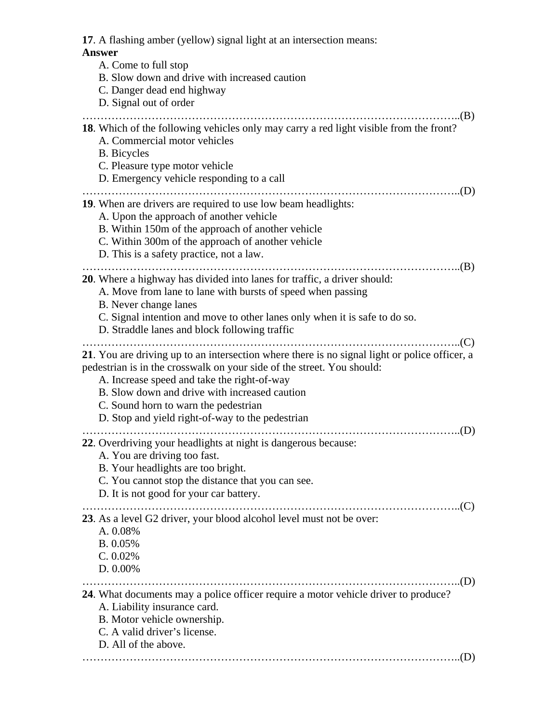| 17. A flashing amber (yellow) signal light at an intersection means:                                                                                                                                                                                                                                                                                                |
|---------------------------------------------------------------------------------------------------------------------------------------------------------------------------------------------------------------------------------------------------------------------------------------------------------------------------------------------------------------------|
| <b>Answer</b><br>A. Come to full stop<br>B. Slow down and drive with increased caution<br>C. Danger dead end highway<br>D. Signal out of order                                                                                                                                                                                                                      |
| 18. Which of the following vehicles only may carry a red light visible from the front?<br>A. Commercial motor vehicles<br><b>B.</b> Bicycles<br>C. Pleasure type motor vehicle<br>D. Emergency vehicle responding to a call                                                                                                                                         |
| <b>19.</b> When are drivers are required to use low beam headlights:<br>A. Upon the approach of another vehicle<br>B. Within 150m of the approach of another vehicle<br>C. Within 300m of the approach of another vehicle<br>D. This is a safety practice, not a law.                                                                                               |
| <b>20.</b> Where a highway has divided into lanes for traffic, a driver should:<br>A. Move from lane to lane with bursts of speed when passing<br>B. Never change lanes<br>C. Signal intention and move to other lanes only when it is safe to do so.<br>D. Straddle lanes and block following traffic                                                              |
| 21. You are driving up to an intersection where there is no signal light or police officer, a<br>pedestrian is in the crosswalk on your side of the street. You should:<br>A. Increase speed and take the right-of-way<br>B. Slow down and drive with increased caution<br>C. Sound horn to warn the pedestrian<br>D. Stop and yield right-of-way to the pedestrian |
| 22. Overdriving your headlights at night is dangerous because:<br>A. You are driving too fast.<br>B. Your headlights are too bright.<br>C. You cannot stop the distance that you can see.<br>D. It is not good for your car battery.                                                                                                                                |
| 23. As a level G2 driver, your blood alcohol level must not be over:<br>A. 0.08%<br>B. 0.05%<br>C. 0.02%<br>D. 0.00%                                                                                                                                                                                                                                                |
| 24. What documents may a police officer require a motor vehicle driver to produce?<br>A. Liability insurance card.<br>B. Motor vehicle ownership.<br>C. A valid driver's license.<br>D. All of the above.<br>(D)                                                                                                                                                    |
|                                                                                                                                                                                                                                                                                                                                                                     |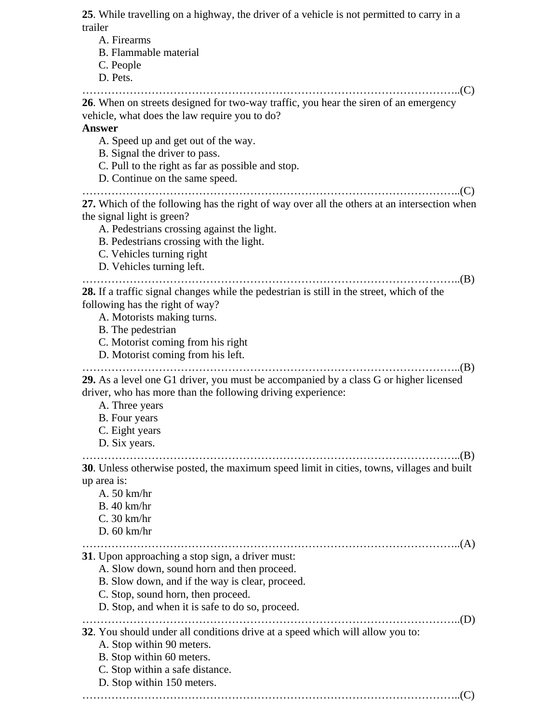**25**. While travelling on a highway, the driver of a vehicle is not permitted to carry in a trailer

A. Firearms B. Flammable material C. People D. Pets. …………………………………………………………………………………………..(C) **26**. When on streets designed for two-way traffic, you hear the siren of an emergency vehicle, what does the law require you to do? **Answer** A. Speed up and get out of the way. B. Signal the driver to pass. C. Pull to the right as far as possible and stop. D. Continue on the same speed. …………………………………………………………………………………………..(C) **27.** Which of the following has the right of way over all the others at an intersection when the signal light is green? A. Pedestrians crossing against the light. B. Pedestrians crossing with the light. C. Vehicles turning right D. Vehicles turning left. …………………………………………………………………………………………..(B) **28.** If a traffic signal changes while the pedestrian is still in the street, which of the following has the right of way? A. Motorists making turns. B. The pedestrian C. Motorist coming from his right D. Motorist coming from his left. …………………………………………………………………………………………..(B) **29.** As a level one G1 driver, you must be accompanied by a class G or higher licensed driver, who has more than the following driving experience: A. Three years B. Four years C. Eight years D. Six years. …………………………………………………………………………………………..(B) **30**. Unless otherwise posted, the maximum speed limit in cities, towns, villages and built up area is: A. 50 km/hr B. 40 km/hr C. 30 km/hr D. 60 km/hr …………………………………………………………………………………………..(A) **31**. Upon approaching a stop sign, a driver must: A. Slow down, sound horn and then proceed. B. Slow down, and if the way is clear, proceed. C. Stop, sound horn, then proceed. D. Stop, and when it is safe to do so, proceed. …………………………………………………………………………………………..(D) **32**. You should under all conditions drive at a speed which will allow you to: A. Stop within 90 meters. B. Stop within 60 meters. C. Stop within a safe distance. D. Stop within 150 meters. …………………………………………………………………………………………..(C)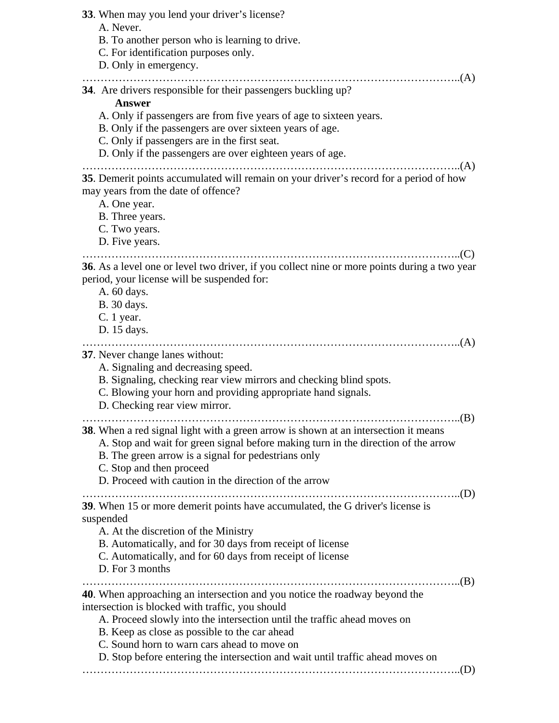**33**. When may you lend your driver's license? A. Never. B. To another person who is learning to drive. C. For identification purposes only. D. Only in emergency. …………………………………………………………………………………………..(A) **34**. Are drivers responsible for their passengers buckling up? **Answer** A. Only if passengers are from five years of age to sixteen years. B. Only if the passengers are over sixteen years of age. C. Only if passengers are in the first seat. D. Only if the passengers are over eighteen years of age. …………………………………………………………………………………………..(A) **35**. Demerit points accumulated will remain on your driver's record for a period of how may years from the date of offence? A. One year. B. Three years. C. Two years. D. Five years. …………………………………………………………………………………………..(C) **36**. As a level one or level two driver, if you collect nine or more points during a two year period, your license will be suspended for: A. 60 days. B. 30 days. C. 1 year. D. 15 days. …………………………………………………………………………………………..(A) **37**. Never change lanes without: A. Signaling and decreasing speed. B. Signaling, checking rear view mirrors and checking blind spots. C. Blowing your horn and providing appropriate hand signals. D. Checking rear view mirror. …………………………………………………………………………………………..(B) **38**. When a red signal light with a green arrow is shown at an intersection it means A. Stop and wait for green signal before making turn in the direction of the arrow B. The green arrow is a signal for pedestrians only C. Stop and then proceed D. Proceed with caution in the direction of the arrow …………………………………………………………………………………………..(D) **39**. When 15 or more demerit points have accumulated, the G driver's license is suspended A. At the discretion of the Ministry B. Automatically, and for 30 days from receipt of license C. Automatically, and for 60 days from receipt of license D. For 3 months …………………………………………………………………………………………..(B) **40**. When approaching an intersection and you notice the roadway beyond the intersection is blocked with traffic, you should A. Proceed slowly into the intersection until the traffic ahead moves on B. Keep as close as possible to the car ahead C. Sound horn to warn cars ahead to move on D. Stop before entering the intersection and wait until traffic ahead moves on …………………………………………………………………………………………..(D)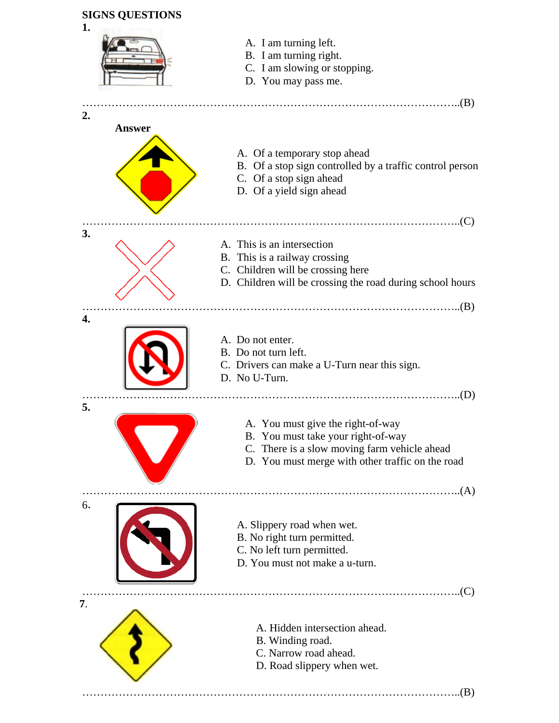

- C. Narrow road ahead.
- D. Road slippery when wet.

…………………………………………………………………………………………..(B)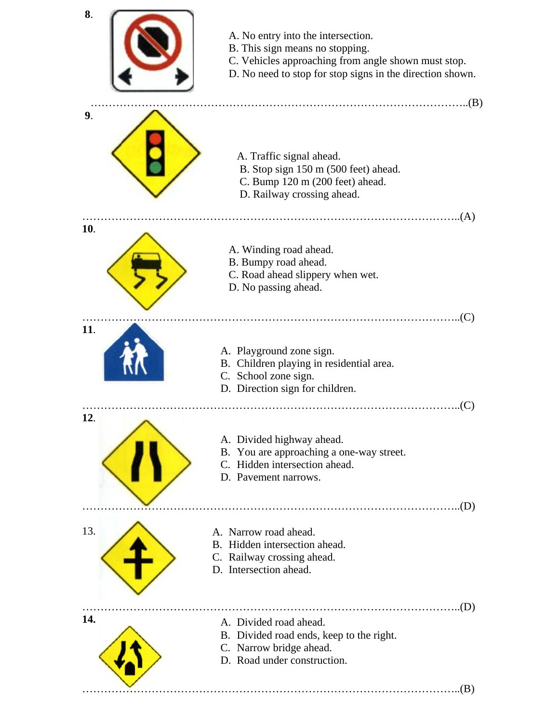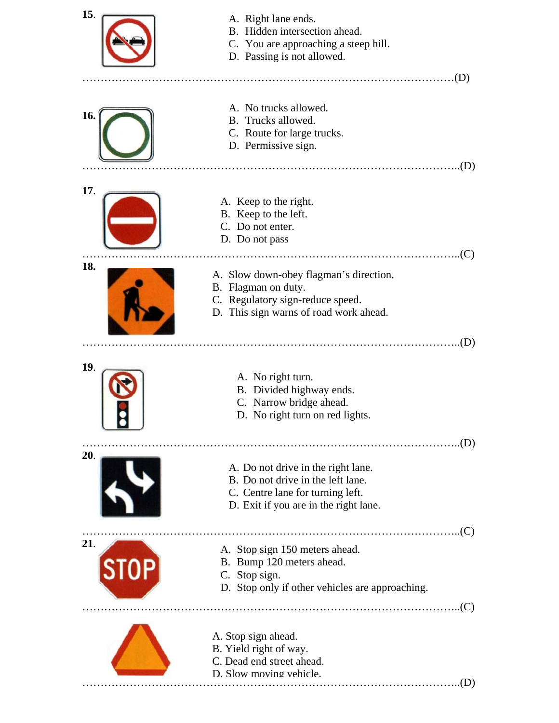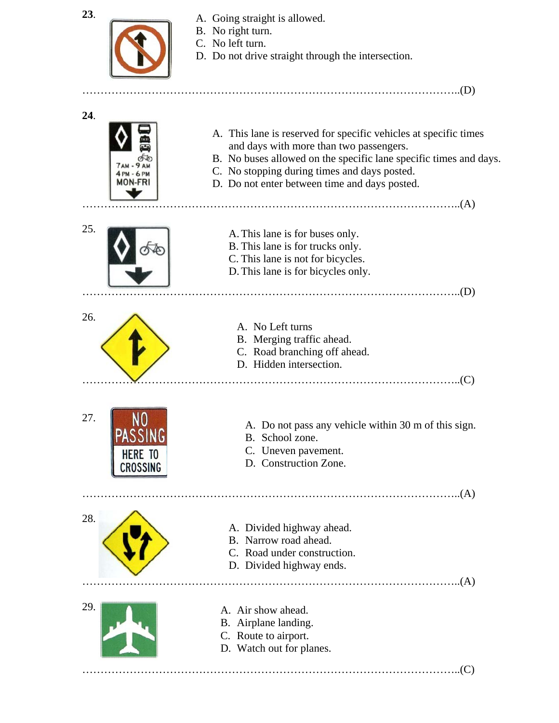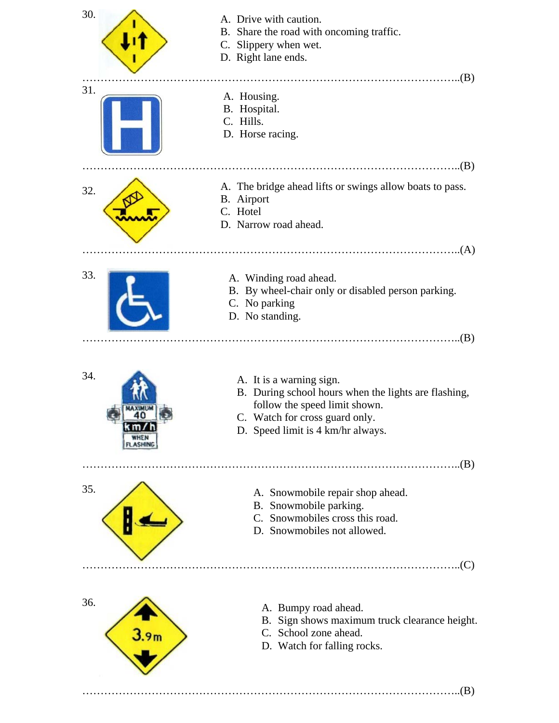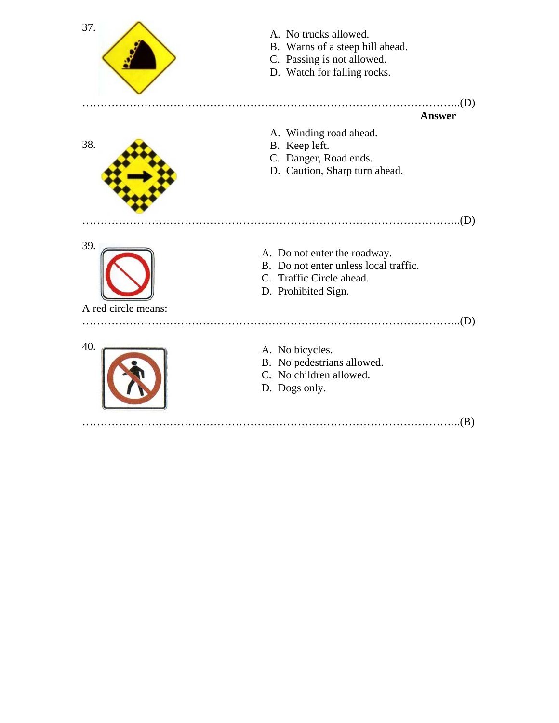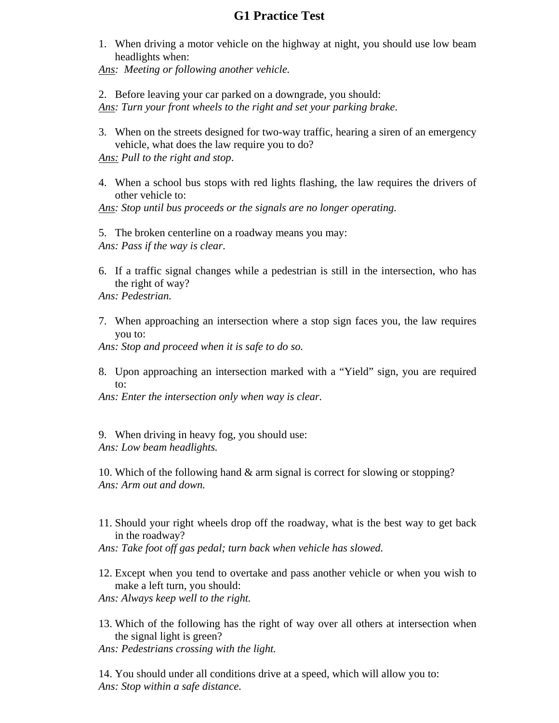## **G1 Practice Test**

1. When driving a motor vehicle on the highway at night, you should use low beam headlights when:

*Ans: Meeting or following another vehicle.* 

2. Before leaving your car parked on a downgrade, you should: *Ans: Turn your front wheels to the right and set your parking brake*.

3. When on the streets designed for two-way traffic, hearing a siren of an emergency vehicle, what does the law require you to do?

*Ans: Pull to the right and stop*.

4. When a school bus stops with red lights flashing, the law requires the drivers of other vehicle to:

*Ans: Stop until bus proceeds or the signals are no longer operating.* 

5. The broken centerline on a roadway means you may: *Ans: Pass if the way is clear*.

6. If a traffic signal changes while a pedestrian is still in the intersection, who has the right of way?

*Ans: Pedestrian.* 

7. When approaching an intersection where a stop sign faces you, the law requires you to:

*Ans: Stop and proceed when it is safe to do so.* 

8. Upon approaching an intersection marked with a "Yield" sign, you are required  $t^{\Omega}$ 

*Ans: Enter the intersection only when way is clear.* 

9. When driving in heavy fog, you should use: *Ans: Low beam headlights.* 

10. Which of the following hand & arm signal is correct for slowing or stopping? *Ans: Arm out and down.* 

11. Should your right wheels drop off the roadway, what is the best way to get back in the roadway?

*Ans: Take foot off gas pedal; turn back when vehicle has slowed.* 

12. Except when you tend to overtake and pass another vehicle or when you wish to make a left turn, you should:

*Ans: Always keep well to the right.* 

- 13. Which of the following has the right of way over all others at intersection when the signal light is green?
- *Ans: Pedestrians crossing with the light.*

14. You should under all conditions drive at a speed, which will allow you to: *Ans: Stop within a safe distance.*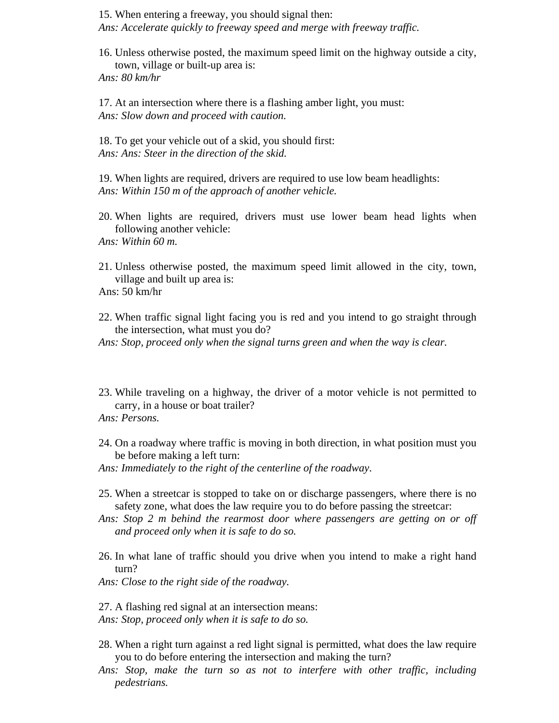15. When entering a freeway, you should signal then: *Ans: Accelerate quickly to freeway speed and merge with freeway traffic.* 

16. Unless otherwise posted, the maximum speed limit on the highway outside a city, town, village or built-up area is:

*Ans: 80 km/hr* 

17. At an intersection where there is a flashing amber light, you must: *Ans: Slow down and proceed with caution.* 

18. To get your vehicle out of a skid, you should first: *Ans: Ans: Steer in the direction of the skid.* 

19. When lights are required, drivers are required to use low beam headlights: *Ans: Within 150 m of the approach of another vehicle.* 

20. When lights are required, drivers must use lower beam head lights when following another vehicle:

*Ans: Within 60 m.* 

21. Unless otherwise posted, the maximum speed limit allowed in the city, town, village and built up area is:

Ans: 50 km/hr

22. When traffic signal light facing you is red and you intend to go straight through the intersection, what must you do?

*Ans: Stop, proceed only when the signal turns green and when the way is clear.* 

23. While traveling on a highway, the driver of a motor vehicle is not permitted to carry, in a house or boat trailer?

*Ans: Persons.* 

24. On a roadway where traffic is moving in both direction, in what position must you be before making a left turn:

*Ans: Immediately to the right of the centerline of the roadway*.

- 25. When a streetcar is stopped to take on or discharge passengers, where there is no safety zone, what does the law require you to do before passing the streetcar:
- *Ans: Stop 2 m behind the rearmost door where passengers are getting on or off and proceed only when it is safe to do so.*
- 26. In what lane of traffic should you drive when you intend to make a right hand turn?

*Ans: Close to the right side of the roadway.* 

27. A flashing red signal at an intersection means:

*Ans: Stop, proceed only when it is safe to do so.* 

- 28. When a right turn against a red light signal is permitted, what does the law require you to do before entering the intersection and making the turn?
- *Ans: Stop, make the turn so as not to interfere with other traffic, including pedestrians.*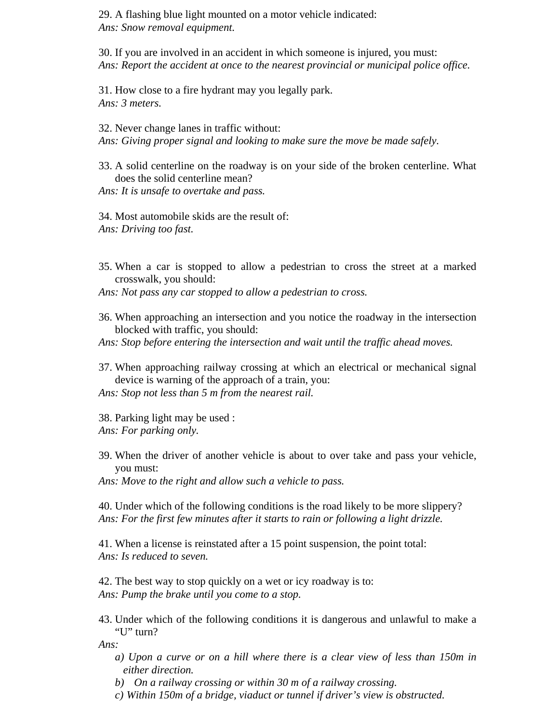29. A flashing blue light mounted on a motor vehicle indicated: *Ans: Snow removal equipment.* 

30. If you are involved in an accident in which someone is injured, you must: *Ans: Report the accident at once to the nearest provincial or municipal police office.* 

31. How close to a fire hydrant may you legally park. *Ans: 3 meters.* 

32. Never change lanes in traffic without: *Ans: Giving proper signal and looking to make sure the move be made safely.* 

33. A solid centerline on the roadway is on your side of the broken centerline. What does the solid centerline mean?

*Ans: It is unsafe to overtake and pass.* 

34. Most automobile skids are the result of: *Ans: Driving too fast.* 

35. When a car is stopped to allow a pedestrian to cross the street at a marked crosswalk, you should:

*Ans: Not pass any car stopped to allow a pedestrian to cross.* 

36. When approaching an intersection and you notice the roadway in the intersection blocked with traffic, you should:

*Ans: Stop before entering the intersection and wait until the traffic ahead moves.* 

- 37. When approaching railway crossing at which an electrical or mechanical signal device is warning of the approach of a train, you:
- *Ans: Stop not less than 5 m from the nearest rail.*

38. Parking light may be used : *Ans: For parking only.* 

39. When the driver of another vehicle is about to over take and pass your vehicle, you must:

*Ans: Move to the right and allow such a vehicle to pass.* 

40. Under which of the following conditions is the road likely to be more slippery? *Ans: For the first few minutes after it starts to rain or following a light drizzle.* 

41. When a license is reinstated after a 15 point suspension, the point total: *Ans: Is reduced to seven.* 

42. The best way to stop quickly on a wet or icy roadway is to: *Ans: Pump the brake until you come to a stop.* 

43. Under which of the following conditions it is dangerous and unlawful to make a "U" turn?

*Ans:* 

- *a) Upon a curve or on a hill where there is a clear view of less than 150m in either direction.*
- *b) On a railway crossing or within 30 m of a railway crossing.*
- *c) Within 150m of a bridge, viaduct or tunnel if driver's view is obstructed.*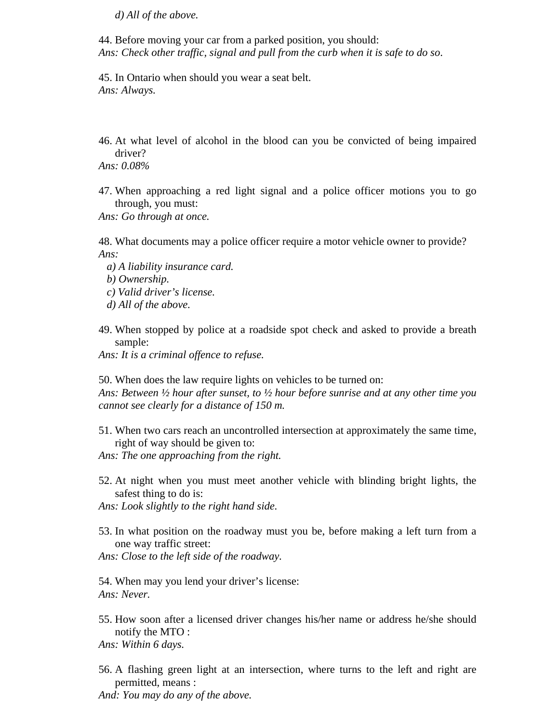*d) All of the above.* 

44. Before moving your car from a parked position, you should: *Ans: Check other traffic, signal and pull from the curb when it is safe to do so*.

45. In Ontario when should you wear a seat belt. *Ans: Always.* 

- 46. At what level of alcohol in the blood can you be convicted of being impaired driver?
- *Ans: 0.08%*
- 47. When approaching a red light signal and a police officer motions you to go through, you must:
- *Ans: Go through at once.*
- 48. What documents may a police officer require a motor vehicle owner to provide? *Ans:* 
	- *a) A liability insurance card.*
	- *b) Ownership.*
	- *c) Valid driver's license.*
	- *d) All of the above.*
- 49. When stopped by police at a roadside spot check and asked to provide a breath sample:

*Ans: It is a criminal offence to refuse.* 

50. When does the law require lights on vehicles to be turned on: *Ans: Between ½ hour after sunset, to ½ hour before sunrise and at any other time you cannot see clearly for a distance of 150 m.* 

- 51. When two cars reach an uncontrolled intersection at approximately the same time, right of way should be given to:
- *Ans: The one approaching from the right.*
- 52. At night when you must meet another vehicle with blinding bright lights, the safest thing to do is:

*Ans: Look slightly to the right hand side.* 

- 53. In what position on the roadway must you be, before making a left turn from a one way traffic street:
- *Ans: Close to the left side of the roadway.*

54. When may you lend your driver's license: *Ans: Never.* 

55. How soon after a licensed driver changes his/her name or address he/she should notify the MTO :

*Ans: Within 6 days.* 

56. A flashing green light at an intersection, where turns to the left and right are permitted, means :

*And: You may do any of the above.*